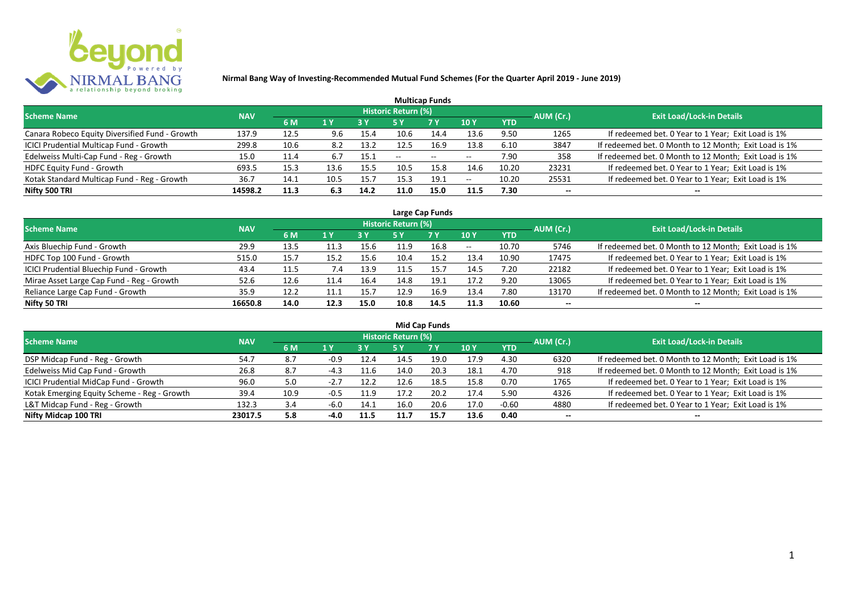

| <b>Multicap Funds</b>                          |            |      |      |      |                            |            |      |            |           |                                                       |  |  |  |  |
|------------------------------------------------|------------|------|------|------|----------------------------|------------|------|------------|-----------|-------------------------------------------------------|--|--|--|--|
| <b>Scheme Name</b>                             | <b>NAV</b> |      |      |      | <b>Historic Return (%)</b> |            |      |            | AUM (Cr.) | Exit Load/Lock-in Details <sup>1</sup>                |  |  |  |  |
|                                                |            | 6 M  | 1 Y  |      |                            | <b>7 Y</b> | 10Y  | <b>YTD</b> |           |                                                       |  |  |  |  |
| Canara Robeco Equity Diversified Fund - Growth | 137.9      | 12.5 | 9.6  | 15.4 | 10.6                       | 14.4       | 13.6 | 9.50       | 1265      | If redeemed bet. 0 Year to 1 Year; Exit Load is 1%    |  |  |  |  |
| ICICI Prudential Multicap Fund - Growth        | 299.8      | 10.6 | 8.2  | 13.2 | 12.5                       | 16.9       | 13.8 | 6.10       | 3847      | If redeemed bet. 0 Month to 12 Month; Exit Load is 1% |  |  |  |  |
| Edelweiss Multi-Cap Fund - Reg - Growth        | 15.0       | 11.4 |      | 15.1 | $- -$                      | $\sim$     | $-$  | 7.90       | 358       | If redeemed bet. 0 Month to 12 Month; Exit Load is 1% |  |  |  |  |
| <b>HDFC Equity Fund - Growth</b>               | 693.5      | 15.3 | 13.6 | 15.5 | 10.5                       | 15.8       | 14.6 | 10.20      | 23231     | If redeemed bet. 0 Year to 1 Year; Exit Load is 1%    |  |  |  |  |
| Kotak Standard Multicap Fund - Reg - Growth    | 36.7       | 14.1 | 10.5 | 15.7 | 15.3                       | 19.1       | $-$  | 10.20      | 25531     | If redeemed bet. 0 Year to 1 Year; Exit Load is 1%    |  |  |  |  |
| Nifty 500 TRI                                  | 14598.2    | 11.3 | 6.3  | 14.2 | 11.0                       | 15.0       | 11.5 | 7.30       | $- -$     | $- -$                                                 |  |  |  |  |

| Large Cap Funds                           |            |      |      |      |                            |           |       |            |           |                                                       |  |  |  |  |
|-------------------------------------------|------------|------|------|------|----------------------------|-----------|-------|------------|-----------|-------------------------------------------------------|--|--|--|--|
| <b>Scheme Name</b>                        | <b>NAV</b> |      |      |      | <b>Historic Return (%)</b> |           |       |            | AUM (Cr.) | <b>Exit Load/Lock-in Details</b>                      |  |  |  |  |
|                                           |            | 6 M  | 1 Y  | 3 Y  | 5 Y                        | <b>7Y</b> | 10Y   | <b>YTD</b> |           |                                                       |  |  |  |  |
| Axis Bluechip Fund - Growth               | 29.9       | 13.5 | 11.3 | 15.6 | 11.9                       | 16.8      | $- -$ | 10.70      | 5746      | If redeemed bet. 0 Month to 12 Month; Exit Load is 1% |  |  |  |  |
| HDFC Top 100 Fund - Growth                | 515.0      | 15.7 | 15.2 | 15.6 | 10.4                       | 15.2      | 13.4  | 10.90      | 17475     | If redeemed bet. 0 Year to 1 Year; Exit Load is 1%    |  |  |  |  |
| ICICI Prudential Bluechip Fund - Growth   | 43.4       | 11.5 | 7.4  | 13.9 | 11.5                       | 15.7      | 14.5  | 7.20       | 22182     | If redeemed bet. 0 Year to 1 Year; Exit Load is 1%    |  |  |  |  |
| Mirae Asset Large Cap Fund - Reg - Growth | 52.6       | 12.6 | 11.4 | 16.4 | 14.8                       | 19.1      | 17.2  | 9.20       | 13065     | If redeemed bet. 0 Year to 1 Year; Exit Load is 1%    |  |  |  |  |
| Reliance Large Cap Fund - Growth          | 35.9       | 12.2 | 11.1 | 15.7 | 12.9                       | 16.9      | 13.4  | 7.80       | 13170     | If redeemed bet. 0 Month to 12 Month; Exit Load is 1% |  |  |  |  |
| Nifty 50 TRI                              | 16650.8    | 14.0 | 12.3 | 15.0 | 10.8                       | 14.5      | 11.3  | 10.60      | $- -$     |                                                       |  |  |  |  |

| <b>Mid Cap Funds</b>                        |            |      |        |      |                            |      |      |            |                          |                                                       |  |  |  |  |
|---------------------------------------------|------------|------|--------|------|----------------------------|------|------|------------|--------------------------|-------------------------------------------------------|--|--|--|--|
| <b>Scheme Name</b>                          | <b>NAV</b> |      |        |      | <b>Historic Return (%)</b> |      |      |            | AUM (Cr.)                | <b>Exit Load/Lock-in Details</b>                      |  |  |  |  |
|                                             |            | 6 M  | 1 Y    | 3 Y  | 5 Y                        | 7 Y  | 10 Y | <b>YTD</b> |                          |                                                       |  |  |  |  |
| DSP Midcap Fund - Reg - Growth              | 54.7       | 8.7  | $-0.9$ | 12.4 | 14.5                       | 19.0 | 17.9 | 4.30       | 6320                     | If redeemed bet. 0 Month to 12 Month; Exit Load is 1% |  |  |  |  |
| Edelweiss Mid Cap Fund - Growth             | 26.8       | 8.7  | $-4.3$ | 11.6 | 14.0                       | 20.3 | 18.1 | 4.70       | 918                      | If redeemed bet. 0 Month to 12 Month; Exit Load is 1% |  |  |  |  |
| ICICI Prudential MidCap Fund - Growth       | 96.0       | 5.0  | $-2.7$ | 12.2 | 12.6                       | 18.5 | 15.8 | 0.70       | 1765                     | If redeemed bet. 0 Year to 1 Year; Exit Load is 1%    |  |  |  |  |
| Kotak Emerging Equity Scheme - Reg - Growth | 39.4       | 10.9 | $-0.5$ | 11.9 | 17.2                       | 20.2 | 17.4 | 5.90       | 4326                     | If redeemed bet. 0 Year to 1 Year; Exit Load is 1%    |  |  |  |  |
| L&T Midcap Fund - Reg - Growth              | 132.3      | 3.4  | $-6.0$ | 14.1 | 16.0                       | 20.6 | 17.0 | $-0.60$    | 4880                     | If redeemed bet. 0 Year to 1 Year; Exit Load is 1%    |  |  |  |  |
| Nifty Midcap 100 TRI                        | 23017.5    | 5.8  | $-4.0$ | 11.5 | 11.7                       | 15.7 | 13.6 | 0.40       | $\overline{\phantom{a}}$ | --                                                    |  |  |  |  |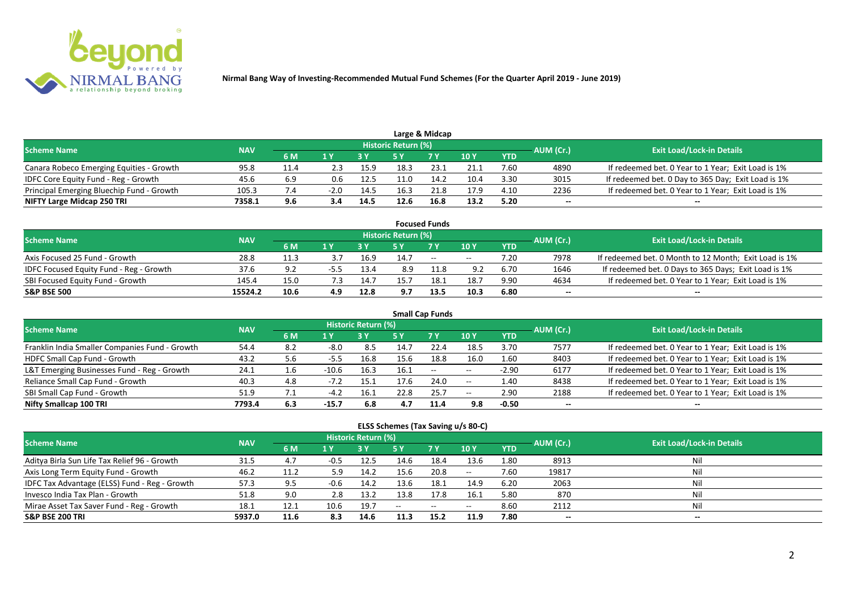

|                                           |            |      |     |      |                            | Large & Midcap |      |            |           |                                                    |
|-------------------------------------------|------------|------|-----|------|----------------------------|----------------|------|------------|-----------|----------------------------------------------------|
| <b>Scheme Name</b>                        | <b>NAV</b> |      |     |      | <b>Historic Return (%)</b> |                |      |            | AUM (Cr.) | <b>Exit Load/Lock-in Details</b>                   |
|                                           |            | 6 M  |     |      |                            | 7 Y            | 10 Y | <b>YTD</b> |           |                                                    |
| Canara Robeco Emerging Equities - Growth  | 95.8       | 11.4 | 2.3 | 15.9 | 18.3                       | 23.1           | 21.1 | 7.60       | 4890      | If redeemed bet. 0 Year to 1 Year; Exit Load is 1% |
| IDFC Core Equity Fund - Reg - Growth      | 45.6       | 6.9  | 0.6 | 12.5 | 11.0                       | 14.2           | 10.4 | 3.30       | 3015      | If redeemed bet. 0 Day to 365 Day; Exit Load is 1% |
| Principal Emerging Bluechip Fund - Growth | 105.3      |      |     | 14.5 | 16.3                       | 21.8           | 17.9 | 4.10       | 2236      | If redeemed bet. 0 Year to 1 Year; Exit Load is 1% |
| NIFTY Large Midcap 250 TRI                | 7358.1     | 9.6  | 3.4 | 14.5 | 12.6                       | 16.8           | 13.2 | 5.20       | --        | $- -$                                              |

| <b>Focused Funds</b>                           |            |      |     |      |                     |      |       |            |           |                                                       |  |  |  |  |
|------------------------------------------------|------------|------|-----|------|---------------------|------|-------|------------|-----------|-------------------------------------------------------|--|--|--|--|
| <b>Scheme Name</b>                             | <b>NAV</b> |      |     |      | Historic Return (%) |      |       |            | AUM (Cr.) | <b>Exit Load/Lock-in Details</b>                      |  |  |  |  |
|                                                |            | 6 M  | 1 V |      |                     | 7 Y  | 10Y   | <b>YTD</b> |           |                                                       |  |  |  |  |
| Axis Focused 25 Fund - Growth                  | 28.8       | 11.3 |     | 16.9 | 14.7                | $ -$ | $- -$ | 7.20       | 7978      | If redeemed bet. 0 Month to 12 Month; Exit Load is 1% |  |  |  |  |
| <b>IDFC Focused Equity Fund - Reg - Growth</b> | 37.6       | 9.2  | -55 | 13.4 | 8.9                 |      | 9.2   | 6.70       | 1646      | If redeemed bet. 0 Days to 365 Days; Exit Load is 1%  |  |  |  |  |
| SBI Focused Equity Fund - Growth               | 145.4      | 15.0 |     | 14.7 | 15.1                | 18.1 | 18.7  | 9.90       | 4634      | If redeemed bet. 0 Year to 1 Year; Exit Load is 1%    |  |  |  |  |
| <b>S&amp;P BSE 500</b>                         | 15524.2    | 10.6 | 4.9 | 12.8 | 9.7                 | 13.5 | 10.3  | 6.80       | --        | --                                                    |  |  |  |  |

| <b>Small Cap Funds</b>                         |            |     |         |                     |      |           |            |            |           |                                                    |  |  |  |
|------------------------------------------------|------------|-----|---------|---------------------|------|-----------|------------|------------|-----------|----------------------------------------------------|--|--|--|
| <b>Scheme Name</b>                             | <b>NAV</b> |     |         | Historic Return (%) |      |           |            |            | AUM (Cr.) | <b>Exit Load/Lock-in Details</b>                   |  |  |  |
|                                                |            | 6 M | 1 Y     |                     | 5 Y  | <b>7Y</b> | <b>10Y</b> | <b>YTD</b> |           |                                                    |  |  |  |
| Franklin India Smaller Companies Fund - Growth | 54.4       | 8.2 | $-8.0$  | 8.5                 | 14.7 | 22.4      | 18.5       | 3.70       | 7577      | If redeemed bet. 0 Year to 1 Year; Exit Load is 1% |  |  |  |
| HDFC Small Cap Fund - Growth                   | 43.2       | 5.6 | -5.5    | 16.8                | 15.6 | 18.8      | 16.0       | 1.60       | 8403      | If redeemed bet. 0 Year to 1 Year; Exit Load is 1% |  |  |  |
| L&T Emerging Businesses Fund - Reg - Growth    | 24.1       | 1.6 | $-10.6$ | 16.3                | 16.1 | $--$      | $- -$      | $-2.90$    | 6177      | If redeemed bet. 0 Year to 1 Year; Exit Load is 1% |  |  |  |
| Reliance Small Cap Fund - Growth               | 40.3       | 4.8 | $-7.2$  | 15.1                | 17.6 | 24.0      | $- -$      | 1.40       | 8438      | If redeemed bet. 0 Year to 1 Year; Exit Load is 1% |  |  |  |
| SBI Small Cap Fund - Growth                    | 51.9       |     | $-4.2$  | 16.1                | 22.8 | 25.7      | $- -$      | 2.90       | 2188      | If redeemed bet. 0 Year to 1 Year; Exit Load is 1% |  |  |  |
| Nifty Smallcap 100 TRI                         | 7793.4     | 6.3 | $-15.7$ | 6.8                 | 4.7  | 11.4      | 9.8        | $-0.50$    | --        |                                                    |  |  |  |

#### **ELSS Schemes (Tax Saving u/s 80-C)**

| <b>Scheme Name</b>                            | <b>NAV</b> |      |        | Historic Return (%) |      |            |                 | AUM (Cr.)  | <b>Exit Load/Lock-in Details</b> |       |
|-----------------------------------------------|------------|------|--------|---------------------|------|------------|-----------------|------------|----------------------------------|-------|
|                                               |            | 6 M  | 1 Y    |                     | 5 Y  | <b>7 Y</b> | 10 <sub>1</sub> | <b>YTD</b> |                                  |       |
| Aditya Birla Sun Life Tax Relief 96 - Growth  | 31.5       |      | $-0.5$ | 12.5                | 14.6 | 18.4       | 13.6            | 1.80       | 8913                             |       |
| Axis Long Term Equity Fund - Growth           | 46.2       | 11.2 | 5.9    | 14.2                | 15.6 | 20.8       | $- -$           | 7.60       | 19817                            | Nil   |
| IDFC Tax Advantage (ELSS) Fund - Reg - Growth | 57.3       | 9.5  | $-0.6$ | 14.2                | 13.6 | 18.1       | 14.9            | 6.20       | 2063                             | Nil   |
| Invesco India Tax Plan - Growth               | 51.8       | 9.0  | 2.8    | 13.2                | 13.8 | 17.8       | 16.1            | 5.80       | 870                              | Ni    |
| Mirae Asset Tax Saver Fund - Reg - Growth     | 18.1       | 12.1 | 10.6   | 19.7                | $-$  | $\sim$     | $- -$           | 8.60       | 2112                             | Nil   |
| <b>S&amp;P BSE 200 TRI</b>                    | 5937.0     | 11.6 | 8.3    | 14.6                | 11.3 | 15.2       | 11.9            | 7.80       | --                               | $- -$ |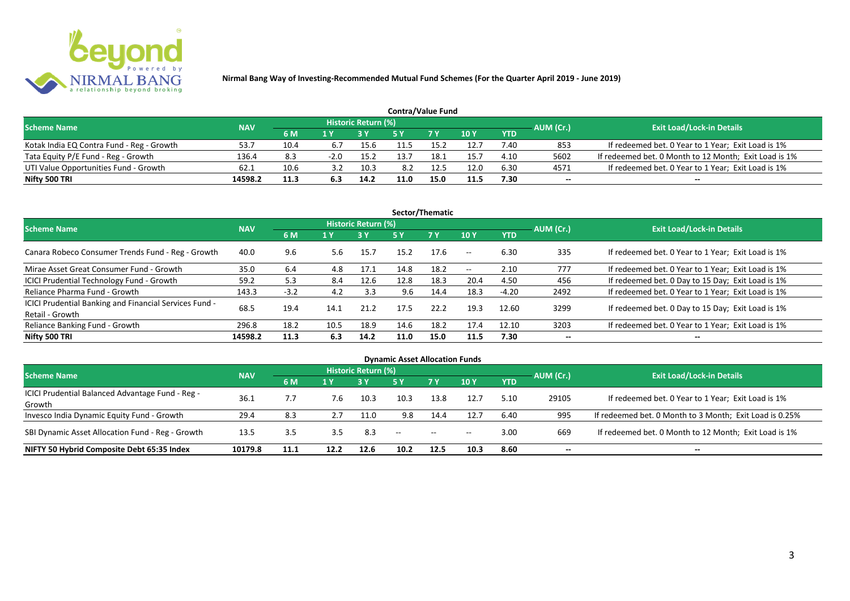

| <b>Contra/Value Fund</b>                  |            |      |        |                     |      |      |      |            |           |                                                       |  |  |  |  |
|-------------------------------------------|------------|------|--------|---------------------|------|------|------|------------|-----------|-------------------------------------------------------|--|--|--|--|
| <b>Scheme Name</b>                        | <b>NAV</b> |      |        | Historic Return (%) |      |      |      |            | AUM (Cr.) | <b>Exit Load/Lock-in Details</b>                      |  |  |  |  |
|                                           |            | 6 M  |        |                     |      | 7 Y  | 10Y  | <b>YTD</b> |           |                                                       |  |  |  |  |
| Kotak India EQ Contra Fund - Reg - Growth | 53.        | 10.4 | 6.7    | 15.6                |      | 15 C | 12.7 | 7.40       | 853       | If redeemed bet. 0 Year to 1 Year; Exit Load is 1%    |  |  |  |  |
| Tata Equity P/E Fund - Reg - Growth       | 136.4      | 8.3  | $-2.0$ | 15.2                | 13.7 | 18.1 | 15.7 | 4.10       | 5602      | If redeemed bet. 0 Month to 12 Month; Exit Load is 1% |  |  |  |  |
| UTI Value Opportunities Fund - Growth     | 62.1       | 10.6 | 39     | 10.3                | 8.2  | 12.5 | 12.0 | 6.30       | 4571      | If redeemed bet. 0 Year to 1 Year; Exit Load is 1%    |  |  |  |  |
| Nifty 500 TRI                             | 14598.2    | 11.3 |        | 14.2                | 11.0 | 15.0 | 11.5 | 7.30       | --        | $- -$                                                 |  |  |  |  |

| Sector/Thematic                                                           |            |        |      |                            |      |           |                          |            |           |                                                    |  |  |  |
|---------------------------------------------------------------------------|------------|--------|------|----------------------------|------|-----------|--------------------------|------------|-----------|----------------------------------------------------|--|--|--|
| <b>Scheme Name</b>                                                        | <b>NAV</b> |        |      | <b>Historic Return (%)</b> |      |           |                          |            | AUM (Cr.) | <b>Exit Load/Lock-in Details</b>                   |  |  |  |
|                                                                           |            | 6 M    | 1 Y  | <b>3 Y</b>                 | 5 Y  | <b>7Y</b> | <b>10Y</b>               | <b>YTD</b> |           |                                                    |  |  |  |
| Canara Robeco Consumer Trends Fund - Reg - Growth                         | 40.0       | 9.6    | 5.6  | 15.7                       | 15.2 | 17.6      | $\sim$ $\sim$            | 6.30       | 335       | If redeemed bet. 0 Year to 1 Year; Exit Load is 1% |  |  |  |
| Mirae Asset Great Consumer Fund - Growth                                  | 35.0       | 6.4    | 4.8  | 17.1                       | 14.8 | 18.2      | $\overline{\phantom{a}}$ | 2.10       | 777       | If redeemed bet. 0 Year to 1 Year; Exit Load is 1% |  |  |  |
| ICICI Prudential Technology Fund - Growth                                 | 59.2       | 5.3    | 8.4  | 12.6                       | 12.8 | 18.3      | 20.4                     | 4.50       | 456       | If redeemed bet. 0 Day to 15 Day; Exit Load is 1%  |  |  |  |
| Reliance Pharma Fund - Growth                                             | 143.3      | $-3.2$ | 4.2  | 3.3                        | 9.6  | 14.4      | 18.3                     | $-4.20$    | 2492      | If redeemed bet. 0 Year to 1 Year; Exit Load is 1% |  |  |  |
| ICICI Prudential Banking and Financial Services Fund -<br>Retail - Growth | 68.5       | 19.4   | 14.1 | 21.2                       | 17.5 | 22.2      | 19.3                     | 12.60      | 3299      | If redeemed bet. 0 Day to 15 Day; Exit Load is 1%  |  |  |  |
| Reliance Banking Fund - Growth                                            | 296.8      | 18.2   | 10.5 | 18.9                       | 14.6 | 18.2      | 17.4                     | 12.10      | 3203      | If redeemed bet. 0 Year to 1 Year; Exit Load is 1% |  |  |  |
| Nifty 500 TRI                                                             | 14598.2    | 11.3   | 6.3  | 14.2                       | 11.0 | 15.0      | 11.5                     | 7.30       | $- -$     | $\overline{\phantom{a}}$                           |  |  |  |

| <b>Dynamic Asset Allocation Funds</b>            |            |      |      |                            |                                                |           |            |            |           |                                                         |  |  |  |
|--------------------------------------------------|------------|------|------|----------------------------|------------------------------------------------|-----------|------------|------------|-----------|---------------------------------------------------------|--|--|--|
| <b>Scheme Name</b>                               | <b>NAV</b> |      |      | <b>Historic Return (%)</b> |                                                |           |            |            |           | <b>Exit Load/Lock-in Details</b>                        |  |  |  |
|                                                  |            | 6 M  | 1 Y  |                            | <b>5 Y</b>                                     | <b>7Y</b> | <b>10Y</b> | <b>YTD</b> | AUM (Cr.) |                                                         |  |  |  |
| ICICI Prudential Balanced Advantage Fund - Reg - | 36.1       |      | 7.6  | 10.3                       | 10.3                                           | 13.8      | 12.7       | 5.10       | 29105     | If redeemed bet. 0 Year to 1 Year; Exit Load is 1%      |  |  |  |
| Growth                                           |            |      |      |                            |                                                |           |            |            |           |                                                         |  |  |  |
| Invesco India Dynamic Equity Fund - Growth       | 29.4       | 8.3  |      | 11.0                       | 9.8                                            | 14.4      | 12.7       | 6.40       | 995       | If redeemed bet. 0 Month to 3 Month; Exit Load is 0.25% |  |  |  |
| SBI Dynamic Asset Allocation Fund - Reg - Growth | 13.5       | 3.5  | 3.5  | 8.3                        | $\hspace{0.1mm}-\hspace{0.1mm}-\hspace{0.1mm}$ | $\sim$    | $- -$      | 3.00       | 669       | If redeemed bet. 0 Month to 12 Month; Exit Load is 1%   |  |  |  |
| NIFTY 50 Hybrid Composite Debt 65:35 Index       | 10179.8    | 11.1 | 12.2 | 12.6                       | 10.2                                           | 12.5      | 10.3       | 8.60       | --        | $- -$                                                   |  |  |  |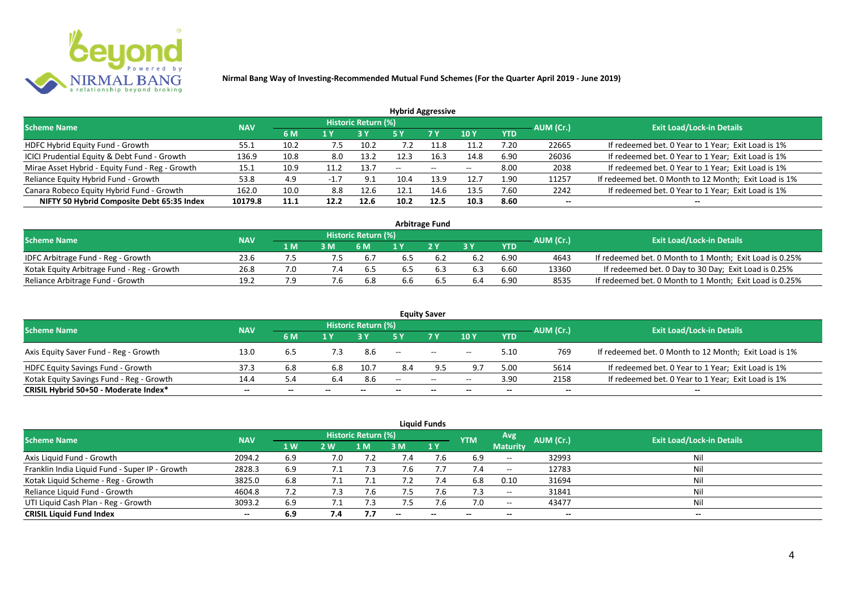

| <b>Hybrid Aggressive</b>                        |            |      |        |                     |               |        |            |            |           |                                                       |  |  |  |
|-------------------------------------------------|------------|------|--------|---------------------|---------------|--------|------------|------------|-----------|-------------------------------------------------------|--|--|--|
| <b>Scheme Name</b>                              | <b>NAV</b> |      |        | Historic Return (%) |               |        |            |            | AUM (Cr.) | <b>Exit Load/Lock-in Details</b>                      |  |  |  |
|                                                 |            | 6 M  | 1 Y    |                     | 5 Y           | 7 Y    | <b>10Y</b> | <b>YTD</b> |           |                                                       |  |  |  |
| HDFC Hybrid Equity Fund - Growth                | 55.1       | 10.2 | 7.5    | 10.2                | $^{\prime}.2$ | 11.8   | 11.2       | 7.20       | 22665     | If redeemed bet. 0 Year to 1 Year; Exit Load is 1%    |  |  |  |
| ICICI Prudential Equity & Debt Fund - Growth    | 136.9      | 10.8 | 8.0    | 13.2                |               | 16.3   | 14.8       | 6.90       | 26036     | If redeemed bet. 0 Year to 1 Year; Exit Load is 1%    |  |  |  |
| Mirae Asset Hybrid - Equity Fund - Reg - Growth | 15.1       | 10.9 |        | 13.7                | $- -$         | $\sim$ | $- -$      | 8.00       | 2038      | If redeemed bet. 0 Year to 1 Year; Exit Load is 1%    |  |  |  |
| Reliance Equity Hybrid Fund - Growth            | 53.8       | 4.9  | $-1.7$ | 9.1                 | 10.4          | 13.9   | 12.7       | 1.90       | 11257     | If redeemed bet. 0 Month to 12 Month; Exit Load is 1% |  |  |  |
| Canara Robeco Equity Hybrid Fund - Growth       | 162.0      | 10.0 | 8.8    | 12.6                | 12.1          | 14.6   | 13.5       | 7.60       | 2242      | If redeemed bet. 0 Year to 1 Year; Exit Load is 1%    |  |  |  |
| NIFTY 50 Hybrid Composite Debt 65:35 Index      | 10179.8    | 11.1 | 12.2   | 12.6                | 10.2          | 12.5   | 10.3       | 8.60       | $- -$     |                                                       |  |  |  |
|                                                 |            |      |        |                     |               |        |            |            |           |                                                       |  |  |  |

| <b>Arbitrage Fund</b>                      |            |      |            |                            |     |     |     |            |           |                                                         |  |  |  |
|--------------------------------------------|------------|------|------------|----------------------------|-----|-----|-----|------------|-----------|---------------------------------------------------------|--|--|--|
| <b>Scheme Name</b>                         | <b>NAV</b> |      |            | <b>Historic Return (%)</b> |     |     |     |            | AUM (Cr.) | <b>Exit Load/Lock-in Details</b>                        |  |  |  |
|                                            |            | 1 M/ | 3M         | 6 M                        |     | 2V  |     | <b>YTD</b> |           |                                                         |  |  |  |
| IDFC Arbitrage Fund - Reg - Growth         | 23.6       |      | ה./        | 6.7                        |     |     |     | 6.90       | 4643      | If redeemed bet. 0 Month to 1 Month; Exit Load is 0.25% |  |  |  |
| Kotak Equity Arbitrage Fund - Reg - Growth | 26.8       |      | $\angle 4$ | . ხ                        | 6.5 | 6.3 | 6.3 | 6.60       | 13360     | If redeemed bet. 0 Day to 30 Day; Exit Load is 0.25%    |  |  |  |
| Reliance Arbitrage Fund - Growth           | 19.2       |      |            | 6.8                        | 6.6 | b.5 | 6.4 | 6.90       | 8535      | If redeemed bet. 0 Month to 1 Month; Exit Load is 0.25% |  |  |  |

|                                          |            |     |       |                     |                          | <b>Equity Saver</b> |       |            |           |                                                       |
|------------------------------------------|------------|-----|-------|---------------------|--------------------------|---------------------|-------|------------|-----------|-------------------------------------------------------|
| <b>Scheme Name</b>                       | <b>NAV</b> |     |       | Historic Return (%) |                          |                     |       |            | AUM (Cr.) | <b>Exit Load/Lock-in Details</b>                      |
|                                          |            | 6 M | 1 V   |                     |                          | 7 Y.                | 10Y   | <b>YTD</b> |           |                                                       |
| Axis Equity Saver Fund - Reg - Growth    | 13.0       | 6.5 |       | 8.6                 | $\overline{\phantom{a}}$ | $\sim$              | $- -$ | 5.10       | 769       | If redeemed bet. 0 Month to 12 Month; Exit Load is 1% |
| HDFC Equity Savings Fund - Growth        | 37.3       | 6.8 | 6.8   | 10.7                | 8.4                      |                     | 9.7   | 5.00       | 5614      | If redeemed bet. 0 Year to 1 Year; Exit Load is 1%    |
| Kotak Equity Savings Fund - Reg - Growth | 14.4       | 5.4 |       | 8.6                 | $-$                      | $\sim$              | $- -$ | 3.90       | 2158      | If redeemed bet. 0 Year to 1 Year; Exit Load is 1%    |
| CRISIL Hybrid 50+50 - Moderate Index*    | $- -$      | --  | $- -$ | $- -$               | --                       | $-$                 | $- -$ | $- -$      | $-$       | $- -$                                                 |

| <b>Liquid Funds</b>                            |            |      |     |                            |      |                          |            |                                       |                          |                                  |  |  |  |  |
|------------------------------------------------|------------|------|-----|----------------------------|------|--------------------------|------------|---------------------------------------|--------------------------|----------------------------------|--|--|--|--|
| <b>Scheme Name</b>                             | <b>NAV</b> |      |     | <b>Historic Return (%)</b> |      |                          | <b>YTM</b> | Avg.                                  | AUM (Cr.)                | <b>Exit Load/Lock-in Details</b> |  |  |  |  |
|                                                |            | 1 W  | 2 W | 1 M                        | 3 M  | 1Y                       |            | <b>Maturity</b>                       |                          |                                  |  |  |  |  |
| Axis Liquid Fund - Growth                      | 2094.2     | 6.9  | 7.0 |                            |      | 7.6                      | 6.9        | $-$                                   | 32993                    | Nil                              |  |  |  |  |
| Franklin India Liquid Fund - Super IP - Growth | 2828.3     | 6.9  |     | 7.3                        | 7.6  |                          |            | $\hspace{0.05cm}$ – $\hspace{0.05cm}$ | 12783                    | Nil                              |  |  |  |  |
| Kotak Liquid Scheme - Reg - Growth             | 3825.0     | 6.8  | 7.1 |                            |      | 7.4                      | 6.8        | 0.10                                  | 31694                    | Nil                              |  |  |  |  |
| Reliance Liquid Fund - Growth                  | 4604.8     | 7.2  | 7.3 | 7.6                        | 7.5  | 7.6                      | 7.3        | $\hspace{0.05cm}$                     | 31841                    | Nil                              |  |  |  |  |
| UTI Liquid Cash Plan - Reg - Growth            | 3093.2     | 6.9  |     | 7.5                        | כ. ו | 7.6                      | 7.0        | $\hspace{0.05cm}$ – $\hspace{0.05cm}$ | 43477                    | Nil                              |  |  |  |  |
| <b>CRISIL Liquid Fund Index</b>                | $- -$      | -6.9 | 7.4 |                            |      | $\overline{\phantom{a}}$ | $- -$      | --                                    | $\overline{\phantom{a}}$ | $- -$                            |  |  |  |  |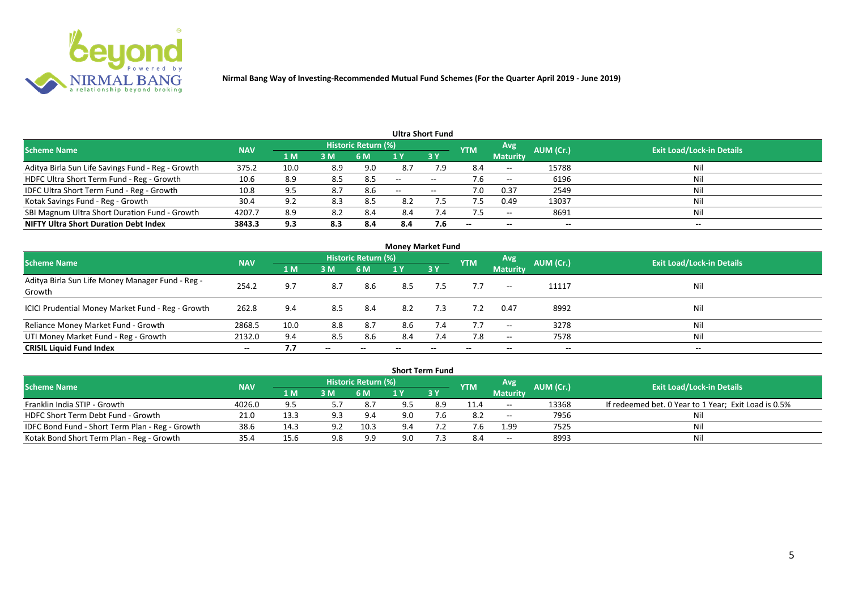

| Ultra Short Fund                                  |            |      |     |                            |       |                   |                          |                   |           |                                  |  |  |  |
|---------------------------------------------------|------------|------|-----|----------------------------|-------|-------------------|--------------------------|-------------------|-----------|----------------------------------|--|--|--|
| <b>Scheme Name</b>                                | <b>NAV</b> |      |     | <b>Historic Return (%)</b> |       |                   | <b>YTM</b>               | Avg               | AUM (Cr.) | <b>Exit Load/Lock-in Details</b> |  |  |  |
|                                                   |            | 1 M  | 3M  | 6 M                        |       | 3 Y               |                          | <b>Maturity</b>   |           |                                  |  |  |  |
| Aditya Birla Sun Life Savings Fund - Reg - Growth | 375.2      | 10.0 | 8.9 | 9.0                        | 8.7   | 7.9               | 8.4                      | $\hspace{0.05cm}$ | 15788     | Nil                              |  |  |  |
| HDFC Ultra Short Term Fund - Reg - Growth         | 10.6       | 8.9  | 8.5 | 8.5                        | $-$   | $- -$             |                          | $- -$             | 6196      | Nil                              |  |  |  |
| IDFC Ultra Short Term Fund - Reg - Growth         | 10.8       | 9.5  | 8.7 | 8.6                        | $- -$ | $\hspace{0.05cm}$ | 7.0                      | 0.37              | 2549      | Nil                              |  |  |  |
| Kotak Savings Fund - Reg - Growth                 | 30.4       | 9.2  | 8.3 | 8.5                        | 8.2   |                   |                          | 0.49              | 13037     | Nil                              |  |  |  |
| SBI Magnum Ultra Short Duration Fund - Growth     | 4207.7     | 8.9  | 8.2 | 8.4                        | 8.4   | $\sqrt{4}$        |                          | $- -$             | 8691      | Nil                              |  |  |  |
| <b>NIFTY Ultra Short Duration Debt Index</b>      | 3843.3     | 9.3  | 8.3 | 8.4                        | 8.4   | 7.6               | $\overline{\phantom{a}}$ | $- -$             | --        | $- -$                            |  |  |  |

| <b>Money Market Fund</b>                                   |            |                |       |                     |     |           |            |                 |           |                                  |  |  |  |
|------------------------------------------------------------|------------|----------------|-------|---------------------|-----|-----------|------------|-----------------|-----------|----------------------------------|--|--|--|
| <b>Scheme Name</b>                                         | <b>NAV</b> |                |       | Historic Return (%) |     |           | <b>YTM</b> | Avg             | AUM (Cr.) | <b>Exit Load/Lock-in Details</b> |  |  |  |
|                                                            |            | 1 <sub>M</sub> | 3 M   | 6 M                 | 1 Y | <b>3Y</b> |            | <b>Maturity</b> |           |                                  |  |  |  |
| Aditya Birla Sun Life Money Manager Fund - Reg -<br>Growth | 254.2      | 9.7            | 8.7   | 8.6                 | 8.5 | 7.5       | 7.7        | $--$            | 11117     | Nil                              |  |  |  |
| ICICI Prudential Money Market Fund - Reg - Growth          | 262.8      | 9.4            | 8.5   | -8.4                | 8.2 | 7.3       | 7.2        | 0.47            | 8992      | Nil                              |  |  |  |
| Reliance Money Market Fund - Growth                        | 2868.5     | 10.0           | 8.8   | 8.7                 | 8.6 | 7.4       | 7.7        | $- -$           | 3278      | Nil                              |  |  |  |
| UTI Money Market Fund - Reg - Growth                       | 2132.0     | 9.4            | 8.5   | 8.6                 | 8.4 | 7.4       | 7.8        | $- -$           | 7578      | Nil                              |  |  |  |
| <b>CRISIL Liquid Fund Index</b>                            | $- -$      | 7.7            | $- -$ |                     |     |           | $- -$      | $- -$           | $- -$     | $- -$                            |  |  |  |

| <b>Short Term Fund</b>                          |            |      |     |                            |     |      |            |                          |           |                                                      |  |  |  |
|-------------------------------------------------|------------|------|-----|----------------------------|-----|------|------------|--------------------------|-----------|------------------------------------------------------|--|--|--|
| <b>Scheme Name</b>                              | <b>NAV</b> |      |     | <b>Historic Return (%)</b> |     |      | <b>YTM</b> | <b>Avg</b>               | AUM (Cr.) | <b>Exit Load/Lock-in Details</b>                     |  |  |  |
|                                                 |            | 1 M  | 3M  | <b>6 M</b>                 |     | 73 Y |            | <b>Maturity</b>          |           |                                                      |  |  |  |
| Franklin India STIP - Growth                    | 4026.0     | 9.5  |     | 8.7                        |     | 8.9  | 11.4       | $- -$                    | 13368     | If redeemed bet. 0 Year to 1 Year; Exit Load is 0.5% |  |  |  |
| HDFC Short Term Debt Fund - Growth              | 21.0       | 13.3 | 9.3 | 9.4                        | 9.0 |      | 8.2        | $\overline{\phantom{a}}$ | 7956      |                                                      |  |  |  |
| IDFC Bond Fund - Short Term Plan - Reg - Growth | 38.6       | 14.3 | 9.2 | 10.3                       | 9.4 |      |            | 1.99                     | 7525      | Nil                                                  |  |  |  |
| Kotak Bond Short Term Plan - Reg - Growth       | 35.4       | 15.6 | 9.8 | 9.9                        | 9.0 |      | 8.4        | $\sim$                   | 8993      | Nil                                                  |  |  |  |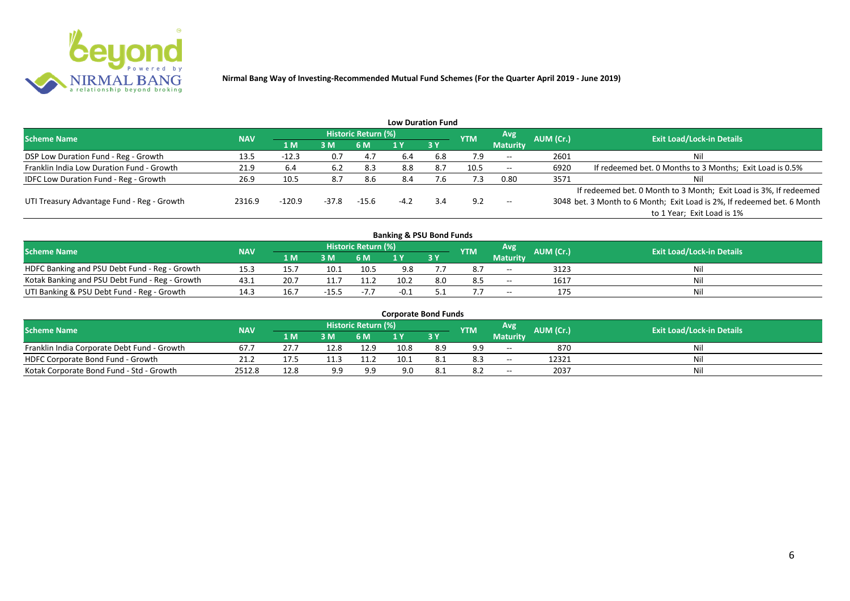

|                                              |            |            |         |                     |        | <b>Low Duration Fund</b> |            |                 |           |                                                                         |
|----------------------------------------------|------------|------------|---------|---------------------|--------|--------------------------|------------|-----------------|-----------|-------------------------------------------------------------------------|
| <b>Scheme Name</b>                           | <b>NAV</b> |            |         | Historic Return (%) |        |                          | <b>YTM</b> | Avg             | AUM (Cr.) | <b>Exit Load/Lock-in Details</b>                                        |
|                                              |            | <b>1 M</b> | 3M      | 6 M                 |        | 3Y                       |            | <b>Maturity</b> |           |                                                                         |
| DSP Low Duration Fund - Reg - Growth         | 13.5       | $-12.3$    | 0.7     | 4.7                 | 6.4    | 6.8                      | 7.9        | $--$            | 2601      | Nil                                                                     |
| Franklin India Low Duration Fund - Growth    | 21.9       | 6.4        | 6.2     | 8.3                 | 8.8    | 8.7                      | 10.5       | $--$            | 6920      | If redeemed bet. 0 Months to 3 Months; Exit Load is 0.5%                |
| <b>IDFC Low Duration Fund - Reg - Growth</b> | 26.9       | 10.5       | 8.7     | 8.6                 | 8.4    | ∴6.                      | 7.3        | 0.80            | 3571      | Nil                                                                     |
|                                              |            |            |         |                     |        |                          |            |                 |           | If redeemed bet. 0 Month to 3 Month; Exit Load is 3%, If redeemed       |
| UTI Treasury Advantage Fund - Reg - Growth   | 2316.9     | $-120.9$   | $-37.8$ | $-15.6$             | $-4.2$ | 3.4                      | 9.2        | $--$            |           | 3048 bet. 3 Month to 6 Month; Exit Load is 2%, If redeemed bet. 6 Month |
|                                              |            |            |         |                     |        |                          |            |                 |           | to 1 Year; Exit Load is 1%                                              |
|                                              |            |            |         |                     |        |                          |            |                 |           |                                                                         |

| <b>Banking &amp; PSU Bond Funds</b>            |            |      |         |                     |      |     |            |                 |           |                                  |  |  |  |
|------------------------------------------------|------------|------|---------|---------------------|------|-----|------------|-----------------|-----------|----------------------------------|--|--|--|
| <b>Scheme Name</b>                             | <b>NAV</b> |      |         | Historic Return (%) |      |     | <b>YTM</b> | Avg             | AUM (Cr.) | <b>Exit Load/Lock-in Details</b> |  |  |  |
|                                                |            | 1 M  | 3M      | 6 M                 |      | 3Y  |            | <b>Maturity</b> |           |                                  |  |  |  |
| HDFC Banking and PSU Debt Fund - Reg - Growth  | 15.3       | 15.7 | 10.1    | 10.5                | 9.8  |     | 8.7        | $- -$           | 3123      | Nil                              |  |  |  |
| Kotak Banking and PSU Debt Fund - Reg - Growth | 43.1       | 20.7 |         | 11.2                | 10.2 | 8.0 | 8.5        | $ -$            | 1617      | Nil                              |  |  |  |
| UTI Banking & PSU Debt Fund - Reg - Growth     |            | 16.7 | $-15.5$ | $-7.7$              | -0.1 |     |            | $- -$           | 175       | Nil                              |  |  |  |

| <b>Corporate Bond Funds</b>                 |            |      |      |                            |      |            |            |                 |           |                                  |  |  |  |
|---------------------------------------------|------------|------|------|----------------------------|------|------------|------------|-----------------|-----------|----------------------------------|--|--|--|
| <b>Scheme Name</b>                          | <b>NAV</b> |      |      | <b>Historic Return (%)</b> |      |            | <b>YTM</b> | Avg             | AUM (Cr.) | <b>Exit Load/Lock-in Details</b> |  |  |  |
|                                             |            | 4 MZ | 3M   | 6 M                        |      | <b>3 Y</b> |            | <b>Maturity</b> |           |                                  |  |  |  |
| Franklin India Corporate Debt Fund - Growth | 67.        |      | 12.8 | 12.9                       | 10.8 | 8.9        | 9.9        | $\sim$          | 870       | Nil                              |  |  |  |
| HDFC Corporate Bond Fund - Growth           | 21.2       | 17.5 | 11.3 | 11.2                       | 10.1 |            | 8.3        | $- -$           | 12321     | Nil                              |  |  |  |
| Kotak Corporate Bond Fund - Std - Growth    | 2512.8     | 12.8 | 9.9  | 9.9                        | 9.0  |            | -8.2       | $- -$           | 2037      | Nil                              |  |  |  |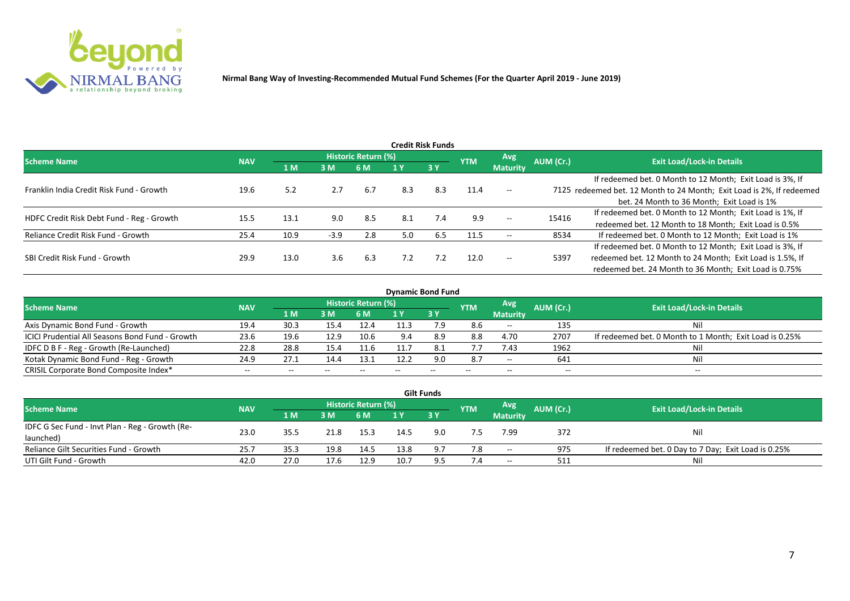

| <b>Credit Risk Funds</b>                  |            |      |        |                     |     |     |            |                 |           |                                                                       |  |  |  |
|-------------------------------------------|------------|------|--------|---------------------|-----|-----|------------|-----------------|-----------|-----------------------------------------------------------------------|--|--|--|
| <b>Scheme Name</b>                        | <b>NAV</b> |      |        | Historic Return (%) |     |     | <b>YTM</b> | <b>Avg</b>      | AUM (Cr.) | <b>Exit Load/Lock-in Details</b>                                      |  |  |  |
|                                           |            | 1 M  | 3M     | 6 M                 |     | 3Y  |            | <b>Maturity</b> |           |                                                                       |  |  |  |
|                                           |            |      |        |                     |     |     |            |                 |           | If redeemed bet. 0 Month to 12 Month; Exit Load is 3%, If             |  |  |  |
| Franklin India Credit Risk Fund - Growth  | 19.6       | 5.2  | 2.7    | 6.7                 | 8.3 | 8.3 | 11.4       | $-$             |           | 7125 redeemed bet. 12 Month to 24 Month; Exit Load is 2%, If redeemed |  |  |  |
|                                           |            |      |        |                     |     |     |            |                 |           | bet. 24 Month to 36 Month; Exit Load is 1%                            |  |  |  |
| HDFC Credit Risk Debt Fund - Reg - Growth | 15.5       | 13.1 | 9.0    | 8.5                 | 8.1 | 7.4 | 9.9        | $--$            | 15416     | If redeemed bet. 0 Month to 12 Month; Exit Load is 1%, If             |  |  |  |
|                                           |            |      |        |                     |     |     |            |                 |           | redeemed bet. 12 Month to 18 Month; Exit Load is 0.5%                 |  |  |  |
| Reliance Credit Risk Fund - Growth        | 25.4       | 10.9 | $-3.9$ | 2.8                 | 5.0 | 6.5 | 11.5       | $- -$           | 8534      | If redeemed bet. 0 Month to 12 Month; Exit Load is 1%                 |  |  |  |
|                                           |            |      |        |                     |     |     |            |                 |           | If redeemed bet. 0 Month to 12 Month; Exit Load is 3%, If             |  |  |  |
| SBI Credit Risk Fund - Growth             | 29.9       | 13.0 | 3.6    | 6.3                 | 7.2 | 7.2 | 12.0       | $- -$           | 5397      | redeemed bet. 12 Month to 24 Month; Exit Load is 1.5%, If             |  |  |  |
|                                           |            |      |        |                     |     |     |            |                 |           | redeemed bet. 24 Month to 36 Month; Exit Load is 0.75%                |  |  |  |

| <b>Dynamic Bond Fund</b>                        |            |       |       |                          |      |           |            |                                       |           |                                                         |  |  |  |  |
|-------------------------------------------------|------------|-------|-------|--------------------------|------|-----------|------------|---------------------------------------|-----------|---------------------------------------------------------|--|--|--|--|
| <b>Scheme Name</b>                              | <b>NAV</b> |       |       | Historic Return (%)      |      |           | <b>YTM</b> | Avg                                   | AUM (Cr.) | <b>Exit Load/Lock-in Details</b>                        |  |  |  |  |
|                                                 |            | 1 M   | 3 M   | 6 M                      |      | <b>3Y</b> |            | <b>Maturity</b>                       |           |                                                         |  |  |  |  |
| Axis Dynamic Bond Fund - Growth                 | 19.4       | 30.3  | 15.4  | 12.4                     | 11.3 |           | 8.6        | $- -$                                 | 135       | Νi                                                      |  |  |  |  |
| ICICI Prudential All Seasons Bond Fund - Growth | 23.6       | 19.6  | 12.9  | 10.6                     | 9.4  | 8.9       | 8.8        | 4.70                                  | 2707      | If redeemed bet. 0 Month to 1 Month; Exit Load is 0.25% |  |  |  |  |
| IDFC D B F - Reg - Growth (Re-Launched)         | 22.8       | 28.8  | 15.4  | 11.6                     |      | 8.1       | 7.7        | 7.43                                  | 1962      |                                                         |  |  |  |  |
| Kotak Dynamic Bond Fund - Reg - Growth          | 24.9       | 27.1  | 14.4  | 13.1                     | 12.2 | 9.0       | 8.7        | $\hspace{0.05cm}$ – $\hspace{0.05cm}$ | 641       | Νi                                                      |  |  |  |  |
| CRISIL Corporate Bond Composite Index*          | $- -$      | $- -$ | $- -$ | $\overline{\phantom{a}}$ |      | $- -$     |            | $\overline{\phantom{a}}$              | $- -$     | $-$                                                     |  |  |  |  |

| <b>Gilt Funds</b>                               |            |        |      |                     |                |       |            |                 |           |                                                     |  |  |  |  |
|-------------------------------------------------|------------|--------|------|---------------------|----------------|-------|------------|-----------------|-----------|-----------------------------------------------------|--|--|--|--|
| <b>Scheme Name</b>                              | <b>NAV</b> |        |      | Historic Return (%) |                |       | <b>YTM</b> | Avg             | AUM (Cr.) | <b>Exit Load/Lock-in Details</b>                    |  |  |  |  |
|                                                 |            | '1 M / | 3 M  | 6 M                 | 1 <sub>Y</sub> | 7 3 Y |            | <b>Maturity</b> |           |                                                     |  |  |  |  |
| IDFC G Sec Fund - Invt Plan - Reg - Growth (Re- | 23.0       |        |      |                     | 14.5           |       |            |                 |           |                                                     |  |  |  |  |
| launched)                                       |            | 35.5   | 21.8 | 15.3                |                | 9.0   |            | 7.99            | 372       | Nil                                                 |  |  |  |  |
| Reliance Gilt Securities Fund - Growth          | 25.7       | 35.3   | 19.8 | 14.5                | 13.8           | 9.7   | 7.8        | $- -$           | 975       | If redeemed bet. 0 Day to 7 Day; Exit Load is 0.25% |  |  |  |  |
| UTI Gilt Fund - Growth                          | 42.0       | 27.0   | 17.6 | 12.9                | 10.7           | 9.5   |            | $- -$           | 511       | Nil                                                 |  |  |  |  |